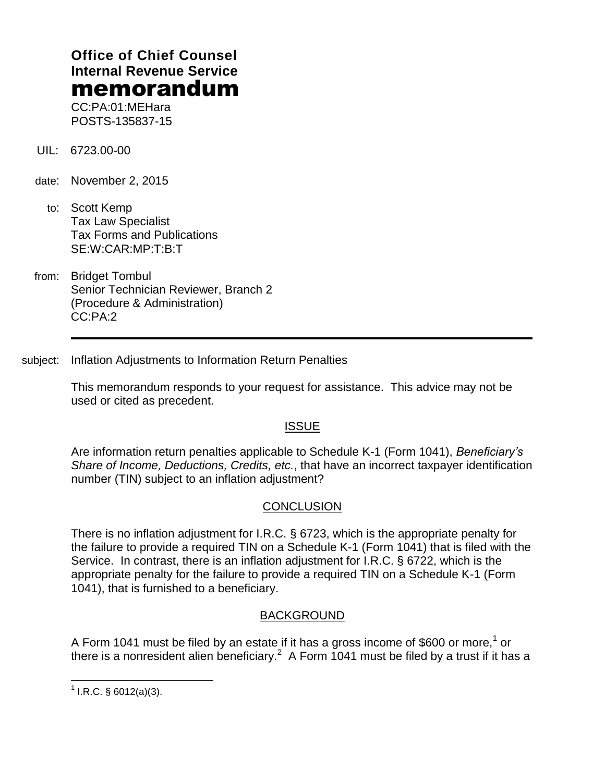# **Office of Chief Counsel Internal Revenue Service** memorandum

CC:PA:01:MEHara POSTS-135837-15

- UIL: 6723.00-00
- date: November 2, 2015
	- to: Scott Kemp Tax Law Specialist Tax Forms and Publications SE:W:CAR:MP:T:B:T
- from: Bridget Tombul Senior Technician Reviewer, Branch 2 (Procedure & Administration) CC:PA:2

subject: Inflation Adjustments to Information Return Penalties

This memorandum responds to your request for assistance. This advice may not be used or cited as precedent.

# **ISSUE**

Are information return penalties applicable to Schedule K-1 (Form 1041), *Beneficiary's Share of Income, Deductions, Credits, etc.*, that have an incorrect taxpayer identification number (TIN) subject to an inflation adjustment?

## **CONCLUSION**

There is no inflation adjustment for I.R.C. § 6723, which is the appropriate penalty for the failure to provide a required TIN on a Schedule K-1 (Form 1041) that is filed with the Service. In contrast, there is an inflation adjustment for I.R.C. § 6722, which is the appropriate penalty for the failure to provide a required TIN on a Schedule K-1 (Form 1041), that is furnished to a beneficiary.

## BACKGROUND

A Form 1041 must be filed by an estate if it has a gross income of \$600 or more,<sup>1</sup> or there is a nonresident alien beneficiary.<sup>2</sup> A Form 1041 must be filed by a trust if it has a

 $\overline{a}$  $1$  I.R.C. § 6012(a)(3).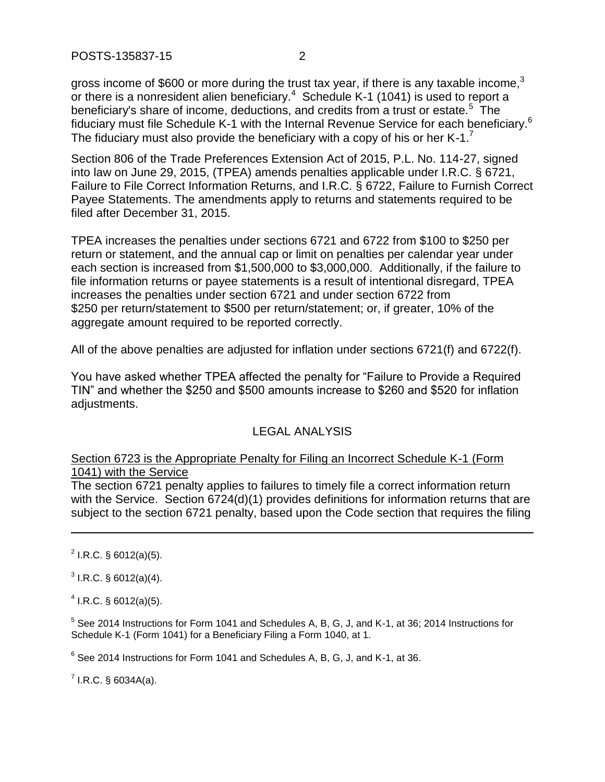POSTS-135837-15 2

gross income of \$600 or more during the trust tax year, if there is any taxable income.<sup>3</sup> or there is a nonresident alien beneficiary. $4$  Schedule K-1 (1041) is used to report a beneficiary's share of income, deductions, and credits from a trust or estate.<sup>5</sup> The fiduciary must file Schedule K-1 with the Internal Revenue Service for each beneficiary.<sup>6</sup> The fiduciary must also provide the beneficiary with a copy of his or her K-1.<sup>7</sup>

Section 806 of the Trade Preferences Extension Act of 2015, P.L. No. 114-27, signed into law on June 29, 2015, (TPEA) amends penalties applicable under I.R.C. § 6721, Failure to File Correct Information Returns, and I.R.C. § 6722, Failure to Furnish Correct Payee Statements. The amendments apply to returns and statements required to be filed after December 31, 2015.

TPEA increases the penalties under sections 6721 and 6722 from \$100 to \$250 per return or statement, and the annual cap or limit on penalties per calendar year under each section is increased from \$1,500,000 to \$3,000,000. Additionally, if the failure to file information returns or payee statements is a result of intentional disregard, TPEA increases the penalties under section 6721 and under section 6722 from \$250 per return/statement to \$500 per return/statement; or, if greater, 10% of the aggregate amount required to be reported correctly.

All of the above penalties are adjusted for inflation under sections 6721(f) and 6722(f).

You have asked whether TPEA affected the penalty for "Failure to Provide a Required TIN" and whether the \$250 and \$500 amounts increase to \$260 and \$520 for inflation adjustments.

## LEGAL ANALYSIS

## Section 6723 is the Appropriate Penalty for Filing an Incorrect Schedule K-1 (Form 1041) with the Service

The section 6721 penalty applies to failures to timely file a correct information return with the Service. Section 6724(d)(1) provides definitions for information returns that are subject to the section 6721 penalty, based upon the Code section that requires the filing

 $^{2}$  I.R.C. § 6012(a)(5).

 $\overline{a}$ 

 $3$  I.R.C. § 6012(a)(4).

 $4$  I.R.C. § 6012(a)(5).

 $<sup>5</sup>$  See 2014 Instructions for Form 1041 and Schedules A, B, G, J, and K-1, at 36; 2014 Instructions for</sup> Schedule K-1 (Form 1041) for a Beneficiary Filing a Form 1040, at 1.

 $^6$  See 2014 Instructions for Form 1041 and Schedules A, B, G, J, and K-1, at 36.

 $^7$  I.R.C. § 6034A(a).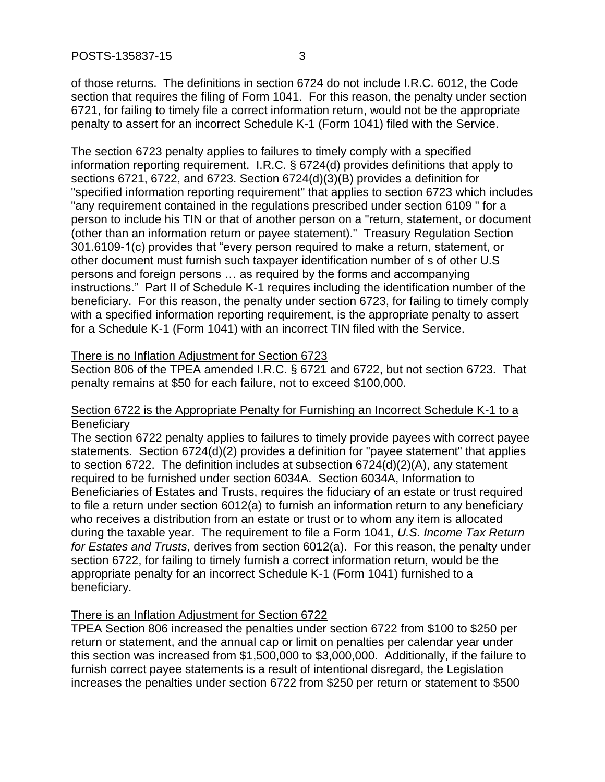of those returns. The definitions in section 6724 do not include I.R.C. 6012, the Code section that requires the filing of Form 1041. For this reason, the penalty under section 6721, for failing to timely file a correct information return, would not be the appropriate penalty to assert for an incorrect Schedule K-1 (Form 1041) filed with the Service.

The section 6723 penalty applies to failures to timely comply with a specified information reporting requirement. I.R.C. § 6724(d) provides definitions that apply to sections 6721, 6722, and 6723. Section 6724(d)(3)(B) provides a definition for "specified information reporting requirement" that applies to section 6723 which includes "any requirement contained in the regulations prescribed under section 6109 " for a person to include his TIN or that of another person on a "return, statement, or document (other than an information return or payee statement)." Treasury Regulation Section 301.6109-1(c) provides that "every person required to make a return, statement, or other document must furnish such taxpayer identification number of s of other U.S persons and foreign persons … as required by the forms and accompanying instructions." Part II of Schedule K-1 requires including the identification number of the beneficiary. For this reason, the penalty under section 6723, for failing to timely comply with a specified information reporting requirement, is the appropriate penalty to assert for a Schedule K-1 (Form 1041) with an incorrect TIN filed with the Service.

#### There is no Inflation Adjustment for Section 6723

Section 806 of the TPEA amended I.R.C. § 6721 and 6722, but not section 6723. That penalty remains at \$50 for each failure, not to exceed \$100,000.

#### Section 6722 is the Appropriate Penalty for Furnishing an Incorrect Schedule K-1 to a **Beneficiary**

The section 6722 penalty applies to failures to timely provide payees with correct payee statements. Section 6724(d)(2) provides a definition for "payee statement" that applies to section 6722. The definition includes at subsection 6724(d)(2)(A), any statement required to be furnished under section 6034A. Section 6034A, Information to Beneficiaries of Estates and Trusts, requires the fiduciary of an estate or trust required to file a return under section 6012(a) to furnish an information return to any beneficiary who receives a distribution from an estate or trust or to whom any item is allocated during the taxable year. The requirement to file a Form 1041, *U.S. Income Tax Return for Estates and Trusts*, derives from section 6012(a). For this reason, the penalty under section 6722, for failing to timely furnish a correct information return, would be the appropriate penalty for an incorrect Schedule K-1 (Form 1041) furnished to a beneficiary.

## There is an Inflation Adjustment for Section 6722

TPEA Section 806 increased the penalties under section 6722 from \$100 to \$250 per return or statement, and the annual cap or limit on penalties per calendar year under this section was increased from \$1,500,000 to \$3,000,000. Additionally, if the failure to furnish correct payee statements is a result of intentional disregard, the Legislation increases the penalties under section 6722 from \$250 per return or statement to \$500